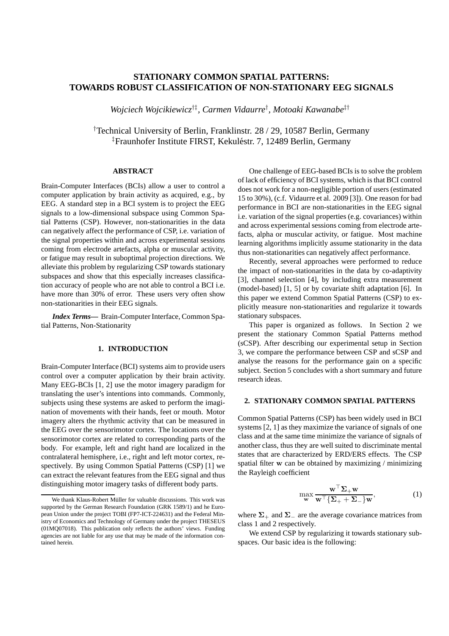# **STATIONARY COMMON SPATIAL PATTERNS: TOWARDS ROBUST CLASSIFICATION OF NON-STATIONARY EEG SIGNALS**

*Wojciech Wojcikiewicz*†‡*, Carmen Vidaurre*† *, Motoaki Kawanabe*‡†

†Technical University of Berlin, Franklinstr. 28 / 29, 10587 Berlin, Germany <sup>‡</sup>Fraunhofer Institute FIRST, Kekuléstr. 7, 12489 Berlin, Germany

# **ABSTRACT**

Brain-Computer Interfaces (BCIs) allow a user to control a computer application by brain activity as acquired, e.g., by EEG. A standard step in a BCI system is to project the EEG signals to a low-dimensional subspace using Common Spatial Patterns (CSP). However, non-stationarities in the data can negatively affect the performance of CSP, i.e. variation of the signal properties within and across experimental sessions coming from electrode artefacts, alpha or muscular activity, or fatigue may result in suboptimal projection directions. We alleviate this problem by regularizing CSP towards stationary subspaces and show that this especially increases classification accuracy of people who are not able to control a BCI i.e. have more than 30% of error. These users very often show non-stationarities in their EEG signals.

*Index Terms***—** Brain-Computer Interface, Common Spatial Patterns, Non-Stationarity

#### **1. INTRODUCTION**

Brain-Computer Interface (BCI) systems aim to provide users control over a computer application by their brain activity. Many EEG-BCIs [1, 2] use the motor imagery paradigm for translating the user's intentions into commands. Commonly, subjects using these systems are asked to perform the imagination of movements with their hands, feet or mouth. Motor imagery alters the rhythmic activity that can be measured in the EEG over the sensorimotor cortex. The locations over the sensorimotor cortex are related to corresponding parts of the body. For example, left and right hand are localized in the contralateral hemisphere, i.e., right and left motor cortex, respectively. By using Common Spatial Patterns (CSP) [1] we can extract the relevant features from the EEG signal and thus distinguishing motor imagery tasks of different body parts.

One challenge of EEG-based BCIs is to solve the problem of lack of efficiency of BCI systems, which is that BCI control does not work for a non-negligible portion of users (estimated 15 to 30%), (c.f. Vidaurre et al. 2009 [3]). One reason for bad performance in BCI are non-stationarities in the EEG signal i.e. variation of the signal properties (e.g. covariances) within and across experimental sessions coming from electrode artefacts, alpha or muscular activity, or fatigue. Most machine learning algorithms implicitly assume stationarity in the data thus non-stationarities can negatively affect performance.

Recently, several approaches were performed to reduce the impact of non-stationarities in the data by co-adaptivity [3], channel selection [4], by including extra measurement (model-based) [1, 5] or by covariate shift adaptation [6]. In this paper we extend Common Spatial Patterns (CSP) to explicitly measure non-stationarities and regularize it towards stationary subspaces.

This paper is organized as follows. In Section 2 we present the stationary Common Spatial Patterns method (sCSP). After describing our experimental setup in Section 3, we compare the performance between CSP and sCSP and analyse the reasons for the performance gain on a specific subject. Section 5 concludes with a short summary and future research ideas.

# **2. STATIONARY COMMON SPATIAL PATTERNS**

Common Spatial Patterns (CSP) has been widely used in BCI systems [2, 1] as they maximize the variance of signals of one class and at the same time minimize the variance of signals of another class, thus they are well suited to discriminate mental states that are characterized by ERD/ERS effects. The CSP spatial filter w can be obtained by maximizing / minimizing the Rayleigh coefficient

$$
\max_{\mathbf{w}} \frac{\mathbf{w}^{\top} \mathbf{\Sigma}_{+} \mathbf{w}}{\mathbf{w}^{\top} \{\mathbf{\Sigma}_{+} + \mathbf{\Sigma}_{-}\} \mathbf{w}},
$$
 (1)

where  $\Sigma_+$  and  $\Sigma_-$  are the average covariance matrices from class 1 and 2 respectively.

We extend CSP by regularizing it towards stationary subspaces. Our basic idea is the following:

We thank Klaus-Robert Müller for valuable discussions. This work was supported by the German Research Foundation (GRK 1589/1) and he European Union under the project TOBI (FP7-ICT-224631) and the Federal Ministry of Economics and Technology of Germany under the project THESEUS (01MQ07018). This publication only reflects the authors' views. Funding agencies are not liable for any use that may be made of the information contained herein.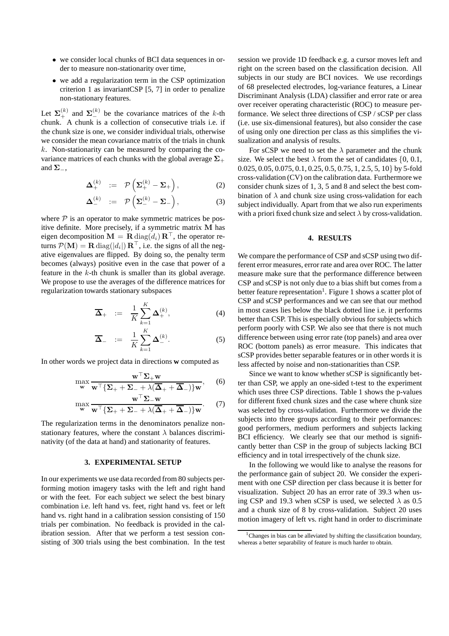- we consider local chunks of BCI data sequences in order to measure non-stationarity over time,
- we add a regularization term in the CSP optimization criterion 1 as invariantCSP [5, 7] in order to penalize non-stationary features.

Let  $\Sigma^{(k)}_{+}$  and  $\Sigma^{(k)}_{-}$  be the covariance matrices of the k-th chunk. A chunk is a collection of consecutive trials i.e. if the chunk size is one, we consider individual trials, otherwise we consider the mean covariance matrix of the trials in chunk  $k$ . Non-stationarity can be measured by comparing the covariance matrices of each chunks with the global average  $\Sigma_{+}$ and  $\Sigma_-,$ 

$$
\Delta_+^{(k)} := \mathcal{P}\left(\Sigma_+^{(k)} - \Sigma_+\right), \tag{2}
$$

$$
\Delta_{-}^{(k)} \quad := \quad \mathcal{P}\left(\Sigma_{-}^{(k)} - \Sigma_{-}\right), \tag{3}
$$

where  $P$  is an operator to make symmetric matrices be positive definite. More precisely, if a symmetric matrix M has eigen decomposition  $\mathbf{M} = \mathbf{R} \text{diag}(d_i) \mathbf{R}^\top$ , the operator returns  $\mathcal{P}(\mathbf{M}) = \mathbf{R} \text{ diag}(|d_i|) \mathbf{R}^\top$ , i.e. the signs of all the negative eigenvalues are flipped. By doing so, the penalty term becomes (always) positive even in the case that power of a feature in the  $k$ -th chunk is smaller than its global average. We propose to use the averages of the difference matrices for regularization towards stationary subspaces

$$
\overline{\Delta}_{+} := \frac{1}{K} \sum_{k=1}^{K} \Delta_{+}^{(k)}, \qquad (4)
$$

$$
\overline{\Delta}_{-} := \frac{1}{K} \sum_{k=1}^{K} \Delta_{-}^{(k)}.
$$
 (5)

In other words we project data in directions **w** computed as

$$
\max_{\mathbf{w}} \frac{\mathbf{w}^{\top} \Sigma_{+} \mathbf{w}}{\mathbf{w}^{\top} \{ \Sigma_{+} + \Sigma_{-} + \lambda (\overline{\mathbf{\Delta}}_{+} + \overline{\mathbf{\Delta}}_{-}) \} \mathbf{w}}, \quad (6)
$$

$$
\max_{\mathbf{w}} \frac{\mathbf{w}^{\top} \mathbf{\Sigma}_{-\mathbf{w}}}{\mathbf{w}^{\top} \{\mathbf{\Sigma}_{+} + \mathbf{\Sigma}_{-} + \lambda(\overline{\mathbf{\Delta}}_{+} + \overline{\mathbf{\Delta}}_{-})\} \mathbf{w}}. \tag{7}
$$

The regularization terms in the denominators penalize nonstationary features, where the constant  $\lambda$  balances discriminativity (of the data at hand) and stationarity of features.

#### **3. EXPERIMENTAL SETUP**

In our experiments we use data recorded from 80 subjects performing motion imagery tasks with the left and right hand or with the feet. For each subject we select the best binary combination i.e. left hand vs. feet, right hand vs. feet or left hand vs. right hand in a calibration session consisting of 150 trials per combination. No feedback is provided in the calibration session. After that we perform a test session consisting of 300 trials using the best combination. In the test

session we provide 1D feedback e.g. a cursor moves left and right on the screen based on the classification decision. All subjects in our study are BCI novices. We use recordings of 68 preselected electrodes, log-variance features, a Linear Discriminant Analysis (LDA) classifier and error rate or area over receiver operating characteristic (ROC) to measure performance. We select three directions of CSP / sCSP per class (i.e. use six-dimensional features), but also consider the case of using only one direction per class as this simplifies the visualization and analysis of results.

For sCSP we need to set the  $\lambda$  parameter and the chunk size. We select the best  $\lambda$  from the set of candidates  $\{0, 0.1, \ldots\}$ 0.025, 0.05, 0.075, 0.1, 0.25, 0.5, 0.75, 1, 2.5, 5, 10} by 5-fold cross-validation (CV) on the calibration data. Furthermore we consider chunk sizes of 1, 3, 5 and 8 and select the best combination of  $\lambda$  and chunk size using cross-validation for each subject individually. Apart from that we also run experiments with a priori fixed chunk size and select  $\lambda$  by cross-validation.

# **4. RESULTS**

We compare the performance of CSP and sCSP using two different error measures, error rate and area over ROC. The latter measure make sure that the performance difference between CSP and sCSP is not only due to a bias shift but comes from a better feature representation<sup>1</sup>. Figure 1 shows a scatter plot of CSP and sCSP performances and we can see that our method in most cases lies below the black dotted line i.e. it performs better than CSP. This is especially obvious for subjects which perform poorly with CSP. We also see that there is not much difference between using error rate (top panels) and area over ROC (bottom panels) as error measure. This indicates that sCSP provides better separable features or in other words it is less affected by noise and non-stationarities than CSP.

Since we want to know whether sCSP is significantly better than CSP, we apply an one-sided t-test to the experiment which uses three CSP directions. Table 1 shows the p-values for different fixed chunk sizes and the case where chunk size was selected by cross-validation. Furthermore we divide the subjects into three groups according to their performances: good performers, medium performers and subjects lacking BCI efficiency. We clearly see that our method is significantly better than CSP in the group of subjects lacking BCI efficiency and in total irrespectively of the chunk size.

In the following we would like to analyse the reasons for the performance gain of subject 20. We consider the experiment with one CSP direction per class because it is better for visualization. Subject 20 has an error rate of 39.3 when using CSP and 19.3 when sCSP is used, we selected  $\lambda$  as 0.5 and a chunk size of 8 by cross-validation. Subject 20 uses motion imagery of left vs. right hand in order to discriminate

<sup>&</sup>lt;sup>1</sup>Changes in bias can be alleviated by shifting the classification boundary, whereas a better separability of feature is much harder to obtain.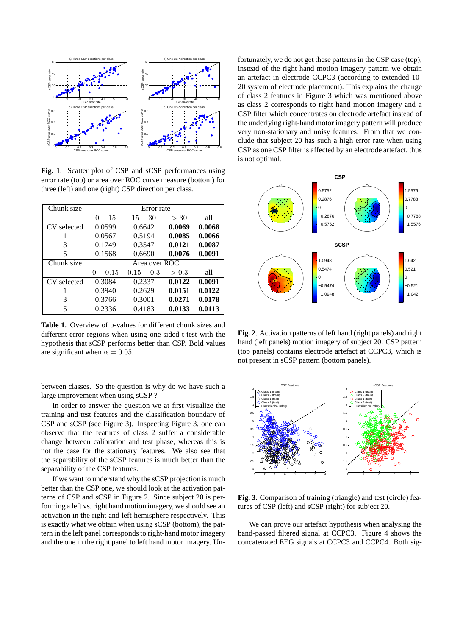

**Fig. 1**. Scatter plot of CSP and sCSP performances using error rate (top) or area over ROC curve measure (bottom) for three (left) and one (right) CSP direction per class.

| Chunk size  | Error rate    |              |        |        |  |  |
|-------------|---------------|--------------|--------|--------|--|--|
|             | $0 - 15$      | $15 - 30$    | >30    | all    |  |  |
| CV selected | 0.0599        | 0.6642       | 0.0069 | 0.0068 |  |  |
|             | 0.0567        | 0.5194       | 0.0085 | 0.0066 |  |  |
| 3           | 0.1749        | 0.3547       | 0.0121 | 0.0087 |  |  |
| 5           | 0.1568        | 0.6690       | 0.0076 | 0.0091 |  |  |
| Chunk size  | Area over ROC |              |        |        |  |  |
|             | $0 - 0.15$    | $0.15 - 0.3$ | > 0.3  | all    |  |  |
| CV selected | 0.3084        | 0.2337       | 0.0122 | 0.0091 |  |  |
|             | 0.3940        | 0.2629       | 0.0151 | 0.0122 |  |  |
| 3           | 0.3766        | 0.3001       | 0.0271 | 0.0178 |  |  |
| 5           | 0.2336        | 0.4183       | 0.0133 | 0.0113 |  |  |

**Table 1**. Overview of p-values for different chunk sizes and different error regions when using one-sided t-test with the hypothesis that sCSP performs better than CSP. Bold values are significant when  $\alpha = 0.05$ .

between classes. So the question is why do we have such a large improvement when using sCSP ?

In order to answer the question we at first visualize the training and test features and the classification boundary of CSP and sCSP (see Figure 3). Inspecting Figure 3, one can observe that the features of class 2 suffer a considerable change between calibration and test phase, whereas this is not the case for the stationary features. We also see that the separability of the sCSP features is much better than the separability of the CSP features.

If we want to understand why the sCSP projection is much better than the CSP one, we should look at the activation patterns of CSP and sCSP in Figure 2. Since subject 20 is performing a left vs. right hand motion imagery, we should see an activation in the right and left hemisphere respectively. This is exactly what we obtain when using sCSP (bottom), the pattern in the left panel corresponds to right-hand motor imagery and the one in the right panel to left hand motor imagery. Unfortunately, we do not get these patterns in the CSP case (top), instead of the right hand motion imagery pattern we obtain an artefact in electrode CCPC3 (according to extended 10- 20 system of electrode placement). This explains the change of class 2 features in Figure 3 which was mentioned above as class 2 corresponds to right hand motion imagery and a CSP filter which concentrates on electrode artefact instead of the underlying right-hand motor imagery pattern will produce very non-stationary and noisy features. From that we conclude that subject 20 has such a high error rate when using CSP as one CSP filter is affected by an electrode artefact, thus is not optimal.



**Fig. 2**. Activation patterns of left hand (right panels) and right hand (left panels) motion imagery of subject 20. CSP pattern (top panels) contains electrode artefact at CCPC3, which is not present in sCSP pattern (bottom panels).



**Fig. 3**. Comparison of training (triangle) and test (circle) features of CSP (left) and sCSP (right) for subject 20.

We can prove our artefact hypothesis when analysing the band-passed filtered signal at CCPC3. Figure 4 shows the concatenated EEG signals at CCPC3 and CCPC4. Both sig-